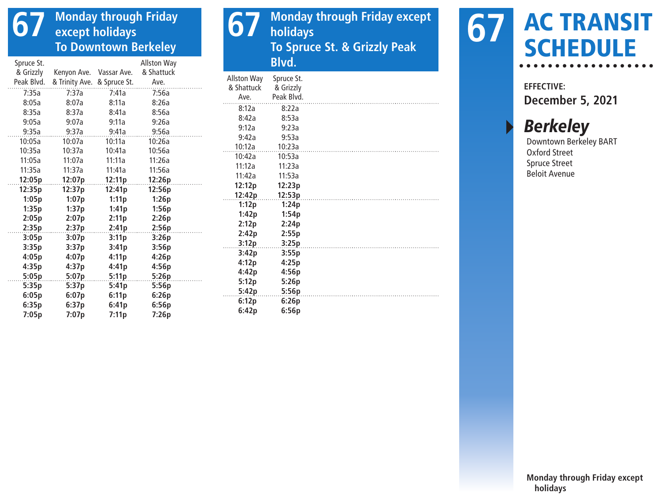## **67 Monday through Friday except holidays To Downtown Berkeley**

| Spruce St. |                             |             | <b>Allston Way</b> |                | Blvd.     |
|------------|-----------------------------|-------------|--------------------|----------------|-----------|
| & Grizzly  | Kenyon Ave.                 | Vassar Ave. | & Shattuck         | Allston Way    | Spruce St |
| Peak Blvd. | & Trinity Ave. & Spruce St. |             | Ave.               | & Shattuck     | & Grizzly |
| 7:35a      | 7:37a                       | 7:41a       | 7:56a              | Ave.           | Peak Blvd |
| 8:05a      | 8:07a                       | 8:11a       | 8:26a              | 8:12a          | 8:22a     |
| 8:35a      | 8:37a                       | 8:41a       | 8:56a              | 8:42a          | 8:53a     |
| 9:05a      | 9:07a                       | 9:11a       | 9:26a              | 9:12a          | 9:23a     |
| 9:35a      | 9:37a                       | 9:41a       | 9:56a              | 9:42a          | 9:53a     |
| 10:05a     | 10:07a                      | 10:11a      | 10:26a             | 10:12a         | 10:23a    |
| 10:35a     | 10:37a                      | 10:41a      | 10:56a             | 10:42a         | 10:53a    |
| 11:05a     | 11:07a                      | 11:11a      | 11:26a             | 11:12a         | 11:23a    |
| 11:35a     | 11:37a                      | 11:41a      | 11:56a             | 11:42a         | 11:53a    |
| 12:05p     | 12:07p                      | 12:11p      | 12:26p             | 12:12p         | 12:23p    |
| 12:35p     | 12:37p                      | 12:41p      | 12:56p             | 12:42p         | 12:53p    |
| 1:05p      | 1:07p                       | 1:11p       | 1:26p              |                | 1:24p     |
| 1:35p      | 1:37p                       | 1:41p       | 1:56p              | 1:12p<br>1:42p | 1:54p     |
| 2:05p      | 2:07p                       | 2:11p       | 2:26p              | 2:12p          | 2:24p     |
| 2:35p      | 2:37p                       | 2:41p       | 2:56p              | 2:42p          | 2:55p     |
| 3:05p      | 3:07p                       | 3:11p       | 3:26p              | 3:12p          | 3:25p     |
| 3:35p      | 3:37p                       | 3:41p       | 3:56p              | 3:42p          | 3:55p     |
| 4:05p      | 4:07p                       | 4:11p       | 4:26p              | 4:12p          | 4:25p     |
| 4:35p      | 4:37p                       | 4:41p       | 4:56p              | 4:42p          | 4:56p     |
| 5:05p      | 5:07p                       | 5:11p       | 5:26p              | 5:12p          | 5:26p     |
| 5:35p      | 5:37p                       | 5:41p       | 5:56p              | 5:42p          | 5:56p     |
| 6:05p      | 6:07p                       | 6:11p       | 6:26p              | 6:12p          | 6:26p     |
| 6:35p      | 6:37p                       | 6:41p       | 6:56p              | 6:42p          | 6:56p     |
| 7:05p      | 7:07p                       | 7:11p       | 7:26p              |                |           |

**67** Monday through Friday except **holidays To Spruce St. & Grizzly Peak Blvd.**

| <b>Allston Way</b> | Spruce St. |  |
|--------------------|------------|--|
| & Shattuck         | & Grizzly  |  |
| Ave.               | Peak Blvd. |  |
| 8:12a              | 8:22a      |  |
| 8:42a              | 8:53a      |  |
| 9:12a              | 9:23a      |  |
| 9:42a              | 9:53a      |  |
| 10:12a             | 10:23a     |  |
| 10:42a             | 10:53a     |  |
| 11:12a             | 11:23a     |  |
| 11:42a             | 11:53a     |  |
| 12:12p             | 12:23p     |  |
| 12:42p             | 12:53p     |  |
| 1:12p              | 1:24p      |  |
| 1:42p              | 1:54p      |  |
| 2:12p              | 2:24p      |  |
| 2:42p              | 2:55p      |  |
| 3:12p              | 3:25p      |  |
| 3:42p              | 3:55p      |  |
| 4:12p              | 4:25p      |  |
| 4:42p              | 4:56p      |  |
| 5:12p              | 5:26p      |  |
| 5:42p              | 5:56p      |  |
| 6:12p              | 6:26p      |  |
| $c \cdot 42$       | C. C.      |  |



**EFFECTIVE: December 5, 2021**

## **Berkeley**

Downtown Berkeley BART Oxford Street Spruce Street Beloit Avenue